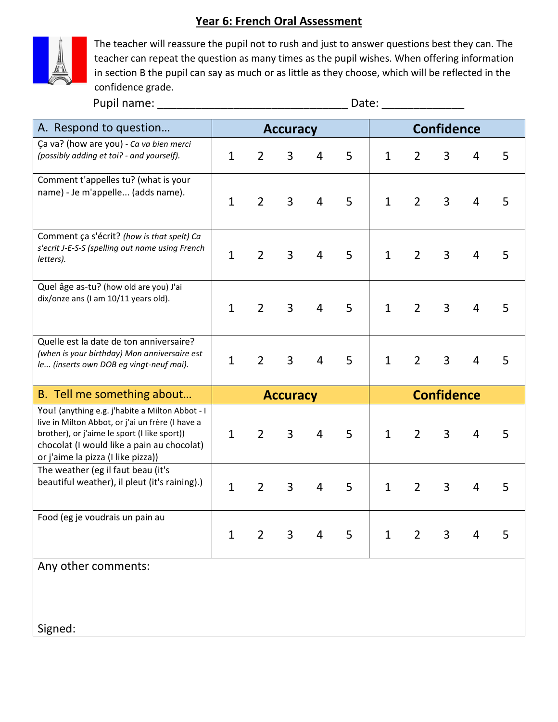## **Year 6: French Oral Assessment**



The teacher will reassure the pupil not to rush and just to answer questions best they can. The teacher can repeat the question as many times as the pupil wishes. When offering information in section B the pupil can say as much or as little as they choose, which will be reflected in the confidence grade.

Pupil name: \_\_\_\_\_\_\_\_\_\_\_\_\_\_\_\_\_\_\_\_\_\_\_\_\_\_\_\_\_\_ Date: \_\_\_\_\_\_\_\_\_\_\_\_\_

| A. Respond to question                                                                                                                                                                                                                  | <b>Accuracy</b> |                |                |                |   | <b>Confidence</b> |                |                |                |   |
|-----------------------------------------------------------------------------------------------------------------------------------------------------------------------------------------------------------------------------------------|-----------------|----------------|----------------|----------------|---|-------------------|----------------|----------------|----------------|---|
| Ça va? (how are you) - Ca va bien merci<br>(possibly adding et toi? - and yourself).                                                                                                                                                    | $\mathbf{1}$    | $\overline{2}$ | 3              | $\overline{4}$ | 5 | $\mathbf{1}$      | $\overline{2}$ | 3              | 4              | 5 |
| Comment t'appelles tu? (what is your<br>name) - Je m'appelle (adds name).                                                                                                                                                               | $\mathbf{1}$    | $\overline{2}$ | 3              | $\overline{4}$ | 5 | $\mathbf{1}$      | $\overline{2}$ | 3              | 4              | 5 |
| Comment ça s'écrit? (how is that spelt) Ca<br>s'ecrit J-E-S-S (spelling out name using French<br>letters).                                                                                                                              | $\mathbf{1}$    | $\overline{2}$ | 3              | $\overline{4}$ | 5 | $\mathbf{1}$      | $\overline{2}$ | 3              | 4              | 5 |
| Quel âge as-tu? (how old are you) J'ai<br>dix/onze ans (I am 10/11 years old).                                                                                                                                                          | $\mathbf{1}$    | $\overline{2}$ | 3              | $\overline{4}$ | 5 | $\mathbf{1}$      | $\overline{2}$ | 3              | 4              | 5 |
| Quelle est la date de ton anniversaire?<br>(when is your birthday) Mon anniversaire est<br>le (inserts own DOB eg vingt-neuf mai).                                                                                                      | $\mathbf{1}$    | $\overline{2}$ | 3              | $\overline{4}$ | 5 | $\mathbf{1}$      | $\overline{2}$ | 3              | $\overline{4}$ | 5 |
|                                                                                                                                                                                                                                         | <b>Accuracy</b> |                |                |                |   | <b>Confidence</b> |                |                |                |   |
| B. Tell me something about                                                                                                                                                                                                              |                 |                |                |                |   |                   |                |                |                |   |
| You! (anything e.g. j'habite a Milton Abbot - I<br>live in Milton Abbot, or j'ai un frère (I have a<br>brother), or j'aime le sport (I like sport))<br>chocolat (I would like a pain au chocolat)<br>or j'aime la pizza (I like pizza)) | $\mathbf{1}$    | $\overline{2}$ | $\overline{3}$ | $\overline{4}$ | 5 | $\mathbf{1}$      | $\overline{2}$ | $\overline{3}$ | 4              | 5 |
| The weather (eg il faut beau (it's<br>beautiful weather), il pleut (it's raining).)                                                                                                                                                     | $\mathbf{1}$    | $\overline{2}$ | 3              | $\overline{4}$ | 5 | $\mathbf{1}$      | $\overline{2}$ | 3              | 4              | 5 |
| Food (eg je voudrais un pain au                                                                                                                                                                                                         | 1               | $\overline{2}$ | 3              | $\overline{4}$ | 5 | $\mathbf{1}$      | $\overline{2}$ | 3              | 4              | 5 |